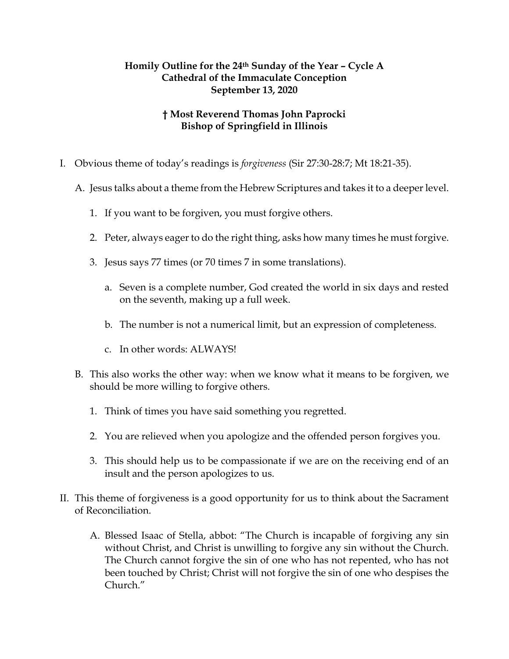## **Homily Outline for the 24th Sunday of the Year – Cycle A Cathedral of the Immaculate Conception September 13, 2020**

## **† Most Reverend Thomas John Paprocki Bishop of Springfield in Illinois**

- I. Obvious theme of today's readings is *forgiveness* (Sir 27:30-28:7; Mt 18:21-35).
	- A. Jesus talks about a theme from the Hebrew Scriptures and takes it to a deeper level.
		- 1. If you want to be forgiven, you must forgive others.
		- 2. Peter, always eager to do the right thing, asks how many times he must forgive.
		- 3. Jesus says 77 times (or 70 times 7 in some translations).
			- a. Seven is a complete number, God created the world in six days and rested on the seventh, making up a full week.
			- b. The number is not a numerical limit, but an expression of completeness.
			- c. In other words: ALWAYS!
	- B. This also works the other way: when we know what it means to be forgiven, we should be more willing to forgive others.
		- 1. Think of times you have said something you regretted.
		- 2. You are relieved when you apologize and the offended person forgives you.
		- 3. This should help us to be compassionate if we are on the receiving end of an insult and the person apologizes to us.
- II. This theme of forgiveness is a good opportunity for us to think about the Sacrament of Reconciliation.
	- A. Blessed Isaac of Stella, abbot: "The Church is incapable of forgiving any sin without Christ, and Christ is unwilling to forgive any sin without the Church. The Church cannot forgive the sin of one who has not repented, who has not been touched by Christ; Christ will not forgive the sin of one who despises the Church."